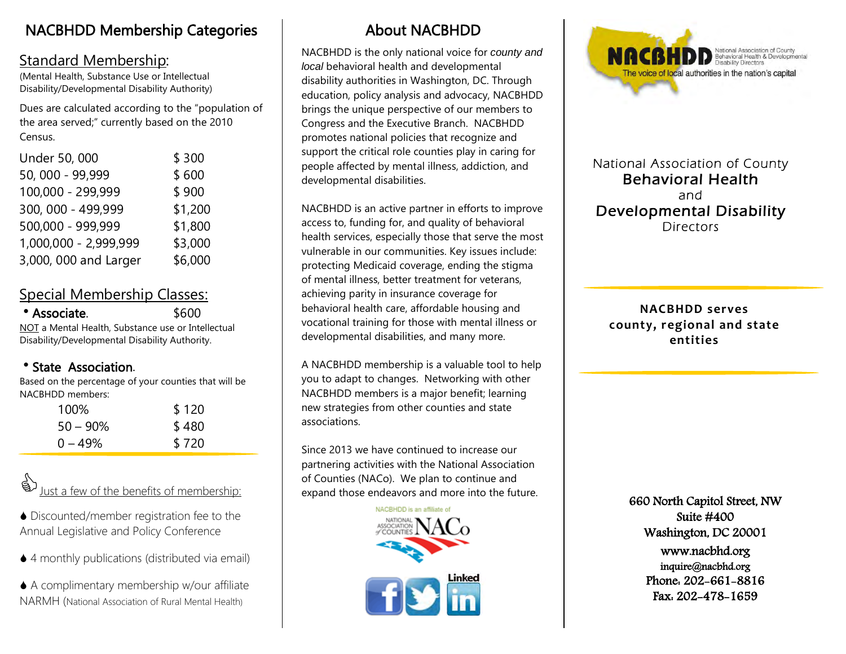# NACBHDD Membership Categories

## Standard Membership:

(Mental Health, Substance Use or Intellectual Disability/Developmental Disability Authority)

Dues are calculated according to the "population of the area served;" currently based on the 2010 Census.

| Under 50, 000         | \$300   |
|-----------------------|---------|
| 50, 000 - 99,999      | \$600   |
| 100,000 - 299,999     | \$900   |
| 300, 000 - 499,999    | \$1,200 |
| 500,000 - 999,999     | \$1,800 |
| 1,000,000 - 2,999,999 | \$3,000 |
| 3,000, 000 and Larger | \$6,000 |
|                       |         |

## Special Membership Classes:

| • Associate.                                       | \$600 |
|----------------------------------------------------|-------|
| NOT a Mental Health, Substance use or Intellectual |       |
| Disability/Developmental Disability Authority.     |       |

## State Association.

Based on the percentage of your counties that will be NACBHDD members:

| 100%        | \$120 |
|-------------|-------|
| $50 - 90\%$ | \$480 |
| $0 - 49%$   | \$720 |

Just a few of the benefits of membership:

◆ Discounted/member registration fee to the Annual Legislative and Policy Conference

◆ 4 monthly publications (distributed via email)

 A complimentary membership w/our affiliate NARMH (National Association of Rural Mental Health)

# About NACBHDD

NACBHDD is the only national voice for *county and local* behavioral health and developmental disability authorities in Washington, DC. Through education, policy analysis and advocacy, NACBHDD brings the unique perspective of our members to Congress and the Executive Branch. NACBHDD promotes national policies that recognize and support the critical role counties play in caring for people affected by mental illness, addiction, and developmental disabilities.

NACBHDD is an active partner in efforts to improve access to, funding for, and quality of behavioral health services, especially those that serve the most vulnerable in our communities. Key issues include: protecting Medicaid coverage, ending the stigma of mental illness, better treatment for veterans, achieving parity in insurance coverage for behavioral health care, affordable housing and vocational training for those with mental illness or developmental disabilities, and many more.

A NACBHDD membership is a valuable tool to help you to adapt to changes. Networking with other NACBHDD members is a major benefit; learning new strategies from other counties and state associations.

Since 2013 we have continued to increase our partnering activities with the National Association of Counties (NACo). We plan to continue and expand those endeavors and more into the future.





National Association of County Behavioral Health and Developmental Disability **Directors** 

**NACBHDD serves county, regional and state entities**

> 660 North Capitol Street, NW Suite #400 Washington, DC 20001 www.nacbhd.org inquire@nacbhd.org Phone: 202-661-8816 Fax: 202-478-1659